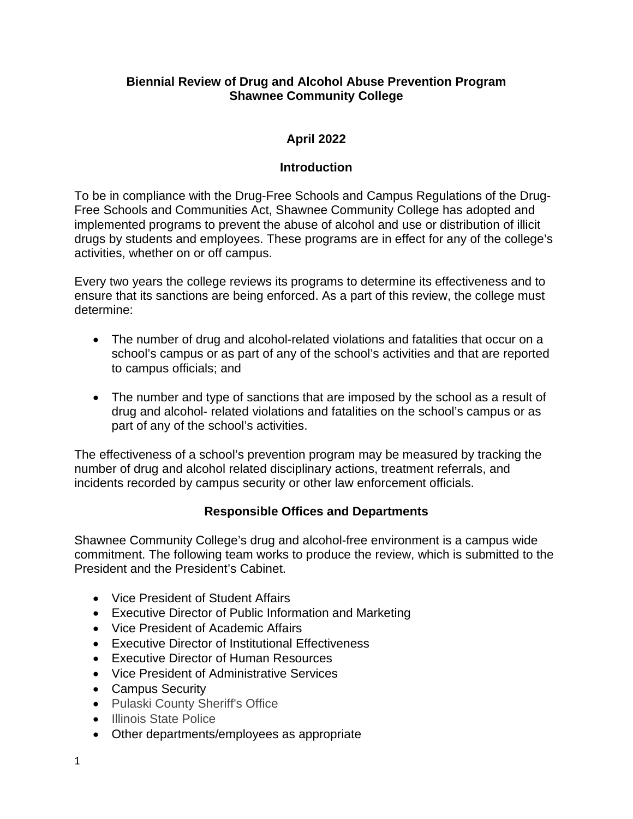## **Biennial Review of Drug and Alcohol Abuse Prevention Program Shawnee Community College**

# **April 2022**

## **Introduction**

To be in compliance with the Drug-Free Schools and Campus Regulations of the Drug-Free Schools and Communities Act, Shawnee Community College has adopted and implemented programs to prevent the abuse of alcohol and use or distribution of illicit drugs by students and employees. These programs are in effect for any of the college's activities, whether on or off campus.

Every two years the college reviews its programs to determine its effectiveness and to ensure that its sanctions are being enforced. As a part of this review, the college must determine:

- The number of drug and alcohol-related violations and fatalities that occur on a school's campus or as part of any of the school's activities and that are reported to campus officials; and
- The number and type of sanctions that are imposed by the school as a result of drug and alcohol- related violations and fatalities on the school's campus or as part of any of the school's activities.

The effectiveness of a school's prevention program may be measured by tracking the number of drug and alcohol related disciplinary actions, treatment referrals, and incidents recorded by campus security or other law enforcement officials.

# **Responsible Offices and Departments**

Shawnee Community College's drug and alcohol-free environment is a campus wide commitment. The following team works to produce the review, which is submitted to the President and the President's Cabinet.

- Vice President of Student Affairs
- Executive Director of Public Information and Marketing
- Vice President of Academic Affairs
- Executive Director of Institutional Effectiveness
- Executive Director of Human Resources
- Vice President of Administrative Services
- Campus Security
- Pulaski County Sheriff's Office
- Illinois State Police
- Other departments/employees as appropriate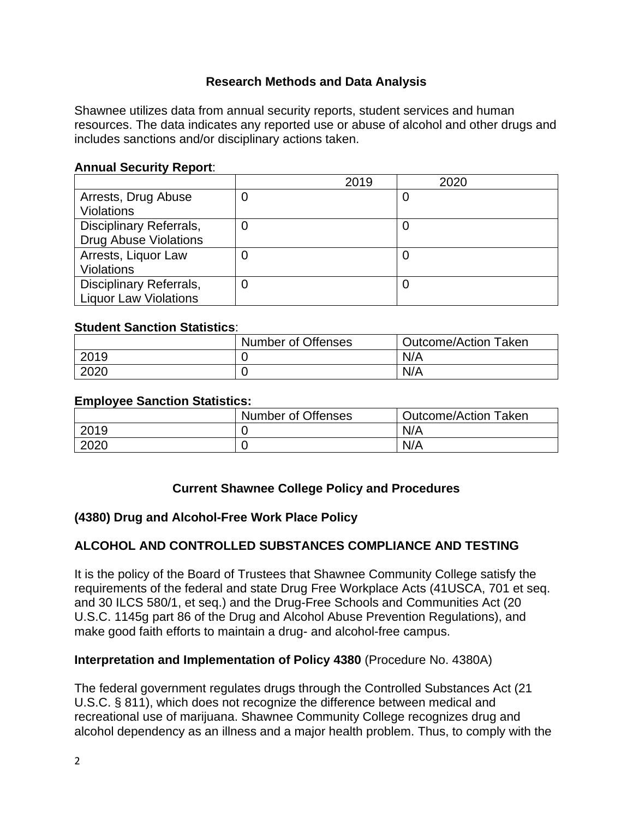## **Research Methods and Data Analysis**

Shawnee utilizes data from annual security reports, student services and human resources. The data indicates any reported use or abuse of alcohol and other drugs and includes sanctions and/or disciplinary actions taken.

## **Annual Security Report**:

|                              |   | 2019 | 2020 |
|------------------------------|---|------|------|
| Arrests, Drug Abuse          | 0 |      | 0    |
| <b>Violations</b>            |   |      |      |
| Disciplinary Referrals,      | 0 |      | U    |
| <b>Drug Abuse Violations</b> |   |      |      |
| Arrests, Liquor Law          | 0 |      |      |
| <b>Violations</b>            |   |      |      |
| Disciplinary Referrals,      | 0 |      | U    |
| <b>Liquor Law Violations</b> |   |      |      |

#### **Student Sanction Statistics**:

|      | <b>Number of Offenses</b> | <b>Outcome/Action Taken</b> |
|------|---------------------------|-----------------------------|
| 2019 |                           | N/A                         |
| 2020 |                           | N/A                         |

#### **Employee Sanction Statistics:**

|      | <b>Number of Offenses</b> | <b>Outcome/Action Taken</b> |
|------|---------------------------|-----------------------------|
| 2019 |                           | N/A                         |
| 2020 |                           | N/A                         |

# **Current Shawnee College Policy and Procedures**

#### **(4380) Drug and Alcohol-Free Work Place Policy**

# **ALCOHOL AND CONTROLLED SUBSTANCES COMPLIANCE AND TESTING**

It is the policy of the Board of Trustees that Shawnee Community College satisfy the requirements of the federal and state Drug Free Workplace Acts (41USCA, 701 et seq. and 30 ILCS 580/1, et seq.) and the Drug-Free Schools and Communities Act (20 U.S.C. 1145g part 86 of the Drug and Alcohol Abuse Prevention Regulations), and make good faith efforts to maintain a drug- and alcohol-free campus.

#### **Interpretation and Implementation of Policy 4380** (Procedure No. 4380A)

The federal government regulates drugs through the Controlled Substances Act (21 U.S.C. § 811), which does not recognize the difference between medical and recreational use of marijuana. Shawnee Community College recognizes drug and alcohol dependency as an illness and a major health problem. Thus, to comply with the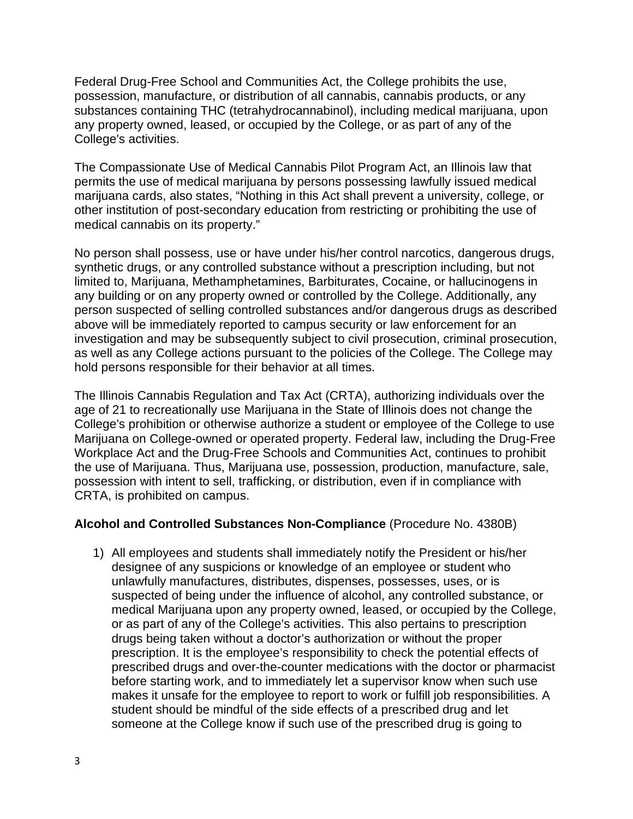Federal Drug-Free School and Communities Act, the College prohibits the use, possession, manufacture, or distribution of all cannabis, cannabis products, or any substances containing THC (tetrahydrocannabinol), including medical marijuana, upon any property owned, leased, or occupied by the College, or as part of any of the College's activities.

The Compassionate Use of Medical Cannabis Pilot Program Act, an Illinois law that permits the use of medical marijuana by persons possessing lawfully issued medical marijuana cards, also states, "Nothing in this Act shall prevent a university, college, or other institution of post-secondary education from restricting or prohibiting the use of medical cannabis on its property."

No person shall possess, use or have under his/her control narcotics, dangerous drugs, synthetic drugs, or any controlled substance without a prescription including, but not limited to, Marijuana, Methamphetamines, Barbiturates, Cocaine, or hallucinogens in any building or on any property owned or controlled by the College. Additionally, any person suspected of selling controlled substances and/or dangerous drugs as described above will be immediately reported to campus security or law enforcement for an investigation and may be subsequently subject to civil prosecution, criminal prosecution, as well as any College actions pursuant to the policies of the College. The College may hold persons responsible for their behavior at all times.

The Illinois Cannabis Regulation and Tax Act (CRTA), authorizing individuals over the age of 21 to recreationally use Marijuana in the State of Illinois does not change the College's prohibition or otherwise authorize a student or employee of the College to use Marijuana on College-owned or operated property. Federal law, including the Drug-Free Workplace Act and the Drug-Free Schools and Communities Act, continues to prohibit the use of Marijuana. Thus, Marijuana use, possession, production, manufacture, sale, possession with intent to sell, trafficking, or distribution, even if in compliance with CRTA, is prohibited on campus.

#### **Alcohol and Controlled Substances Non-Compliance** (Procedure No. 4380B)

1) All employees and students shall immediately notify the President or his/her designee of any suspicions or knowledge of an employee or student who unlawfully manufactures, distributes, dispenses, possesses, uses, or is suspected of being under the influence of alcohol, any controlled substance, or medical Marijuana upon any property owned, leased, or occupied by the College, or as part of any of the College's activities. This also pertains to prescription drugs being taken without a doctor's authorization or without the proper prescription. It is the employee's responsibility to check the potential effects of prescribed drugs and over-the-counter medications with the doctor or pharmacist before starting work, and to immediately let a supervisor know when such use makes it unsafe for the employee to report to work or fulfill job responsibilities. A student should be mindful of the side effects of a prescribed drug and let someone at the College know if such use of the prescribed drug is going to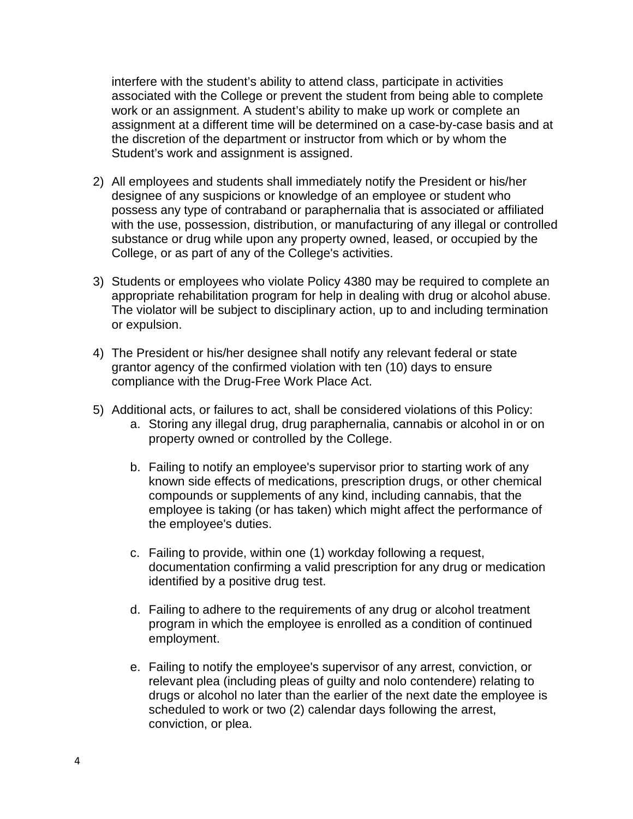interfere with the student's ability to attend class, participate in activities associated with the College or prevent the student from being able to complete work or an assignment. A student's ability to make up work or complete an assignment at a different time will be determined on a case-by-case basis and at the discretion of the department or instructor from which or by whom the Student's work and assignment is assigned.

- 2) All employees and students shall immediately notify the President or his/her designee of any suspicions or knowledge of an employee or student who possess any type of contraband or paraphernalia that is associated or affiliated with the use, possession, distribution, or manufacturing of any illegal or controlled substance or drug while upon any property owned, leased, or occupied by the College, or as part of any of the College's activities.
- 3) Students or employees who violate Policy 4380 may be required to complete an appropriate rehabilitation program for help in dealing with drug or alcohol abuse. The violator will be subject to disciplinary action, up to and including termination or expulsion.
- 4) The President or his/her designee shall notify any relevant federal or state grantor agency of the confirmed violation with ten (10) days to ensure compliance with the Drug-Free Work Place Act.
- 5) Additional acts, or failures to act, shall be considered violations of this Policy:
	- a. Storing any illegal drug, drug paraphernalia, cannabis or alcohol in or on property owned or controlled by the College.
	- b. Failing to notify an employee's supervisor prior to starting work of any known side effects of medications, prescription drugs, or other chemical compounds or supplements of any kind, including cannabis, that the employee is taking (or has taken) which might affect the performance of the employee's duties.
	- c. Failing to provide, within one (1) workday following a request, documentation confirming a valid prescription for any drug or medication identified by a positive drug test.
	- d. Failing to adhere to the requirements of any drug or alcohol treatment program in which the employee is enrolled as a condition of continued employment.
	- e. Failing to notify the employee's supervisor of any arrest, conviction, or relevant plea (including pleas of guilty and nolo contendere) relating to drugs or alcohol no later than the earlier of the next date the employee is scheduled to work or two (2) calendar days following the arrest, conviction, or plea.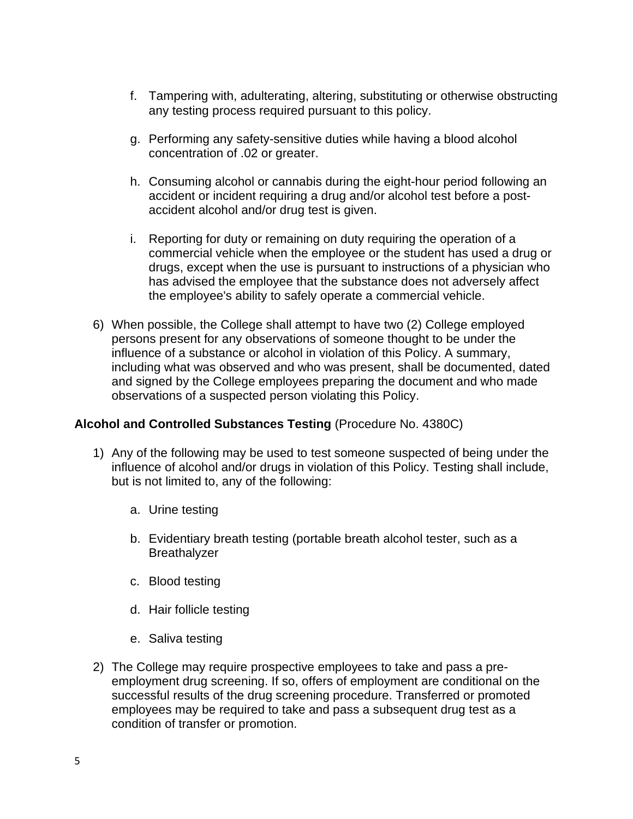- f. Tampering with, adulterating, altering, substituting or otherwise obstructing any testing process required pursuant to this policy.
- g. Performing any safety-sensitive duties while having a blood alcohol concentration of .02 or greater.
- h. Consuming alcohol or cannabis during the eight-hour period following an accident or incident requiring a drug and/or alcohol test before a postaccident alcohol and/or drug test is given.
- i. Reporting for duty or remaining on duty requiring the operation of a commercial vehicle when the employee or the student has used a drug or drugs, except when the use is pursuant to instructions of a physician who has advised the employee that the substance does not adversely affect the employee's ability to safely operate a commercial vehicle.
- 6) When possible, the College shall attempt to have two (2) College employed persons present for any observations of someone thought to be under the influence of a substance or alcohol in violation of this Policy. A summary, including what was observed and who was present, shall be documented, dated and signed by the College employees preparing the document and who made observations of a suspected person violating this Policy.

#### **Alcohol and Controlled Substances Testing** (Procedure No. 4380C)

- 1) Any of the following may be used to test someone suspected of being under the influence of alcohol and/or drugs in violation of this Policy. Testing shall include, but is not limited to, any of the following:
	- a. Urine testing
	- b. Evidentiary breath testing (portable breath alcohol tester, such as a Breathalyzer
	- c. Blood testing
	- d. Hair follicle testing
	- e. Saliva testing
- 2) The College may require prospective employees to take and pass a preemployment drug screening. If so, offers of employment are conditional on the successful results of the drug screening procedure. Transferred or promoted employees may be required to take and pass a subsequent drug test as a condition of transfer or promotion.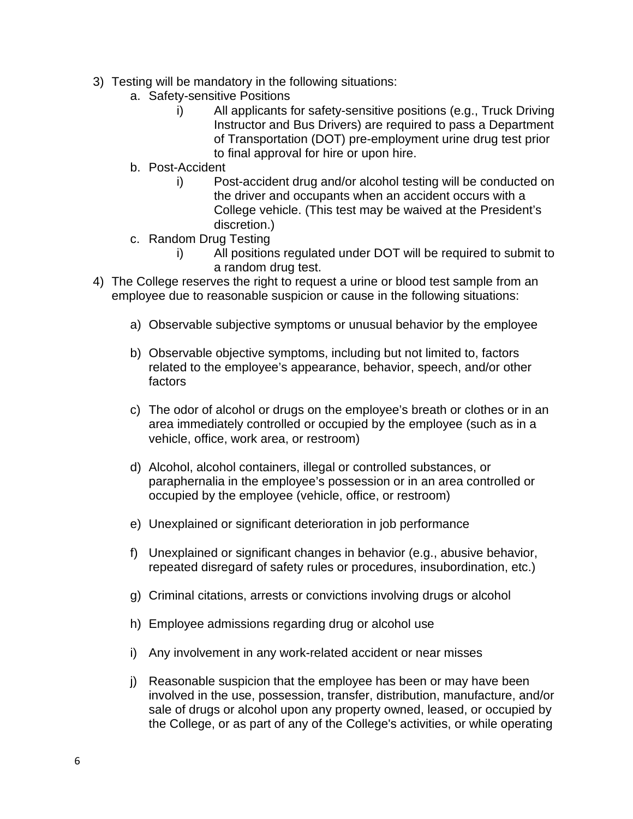- 3) Testing will be mandatory in the following situations:
	- a. Safety-sensitive Positions
		- i) All applicants for safety-sensitive positions (e.g., Truck Driving Instructor and Bus Drivers) are required to pass a Department of Transportation (DOT) pre-employment urine drug test prior to final approval for hire or upon hire.
	- b. Post-Accident
		- i) Post-accident drug and/or alcohol testing will be conducted on the driver and occupants when an accident occurs with a College vehicle. (This test may be waived at the President's discretion.)
	- c. Random Drug Testing
		- i) All positions regulated under DOT will be required to submit to a random drug test.
- 4) The College reserves the right to request a urine or blood test sample from an employee due to reasonable suspicion or cause in the following situations:
	- a) Observable subjective symptoms or unusual behavior by the employee
	- b) Observable objective symptoms, including but not limited to, factors related to the employee's appearance, behavior, speech, and/or other factors
	- c) The odor of alcohol or drugs on the employee's breath or clothes or in an area immediately controlled or occupied by the employee (such as in a vehicle, office, work area, or restroom)
	- d) Alcohol, alcohol containers, illegal or controlled substances, or paraphernalia in the employee's possession or in an area controlled or occupied by the employee (vehicle, office, or restroom)
	- e) Unexplained or significant deterioration in job performance
	- f) Unexplained or significant changes in behavior (e.g., abusive behavior, repeated disregard of safety rules or procedures, insubordination, etc.)
	- g) Criminal citations, arrests or convictions involving drugs or alcohol
	- h) Employee admissions regarding drug or alcohol use
	- i) Any involvement in any work-related accident or near misses
	- j) Reasonable suspicion that the employee has been or may have been involved in the use, possession, transfer, distribution, manufacture, and/or sale of drugs or alcohol upon any property owned, leased, or occupied by the College, or as part of any of the College's activities, or while operating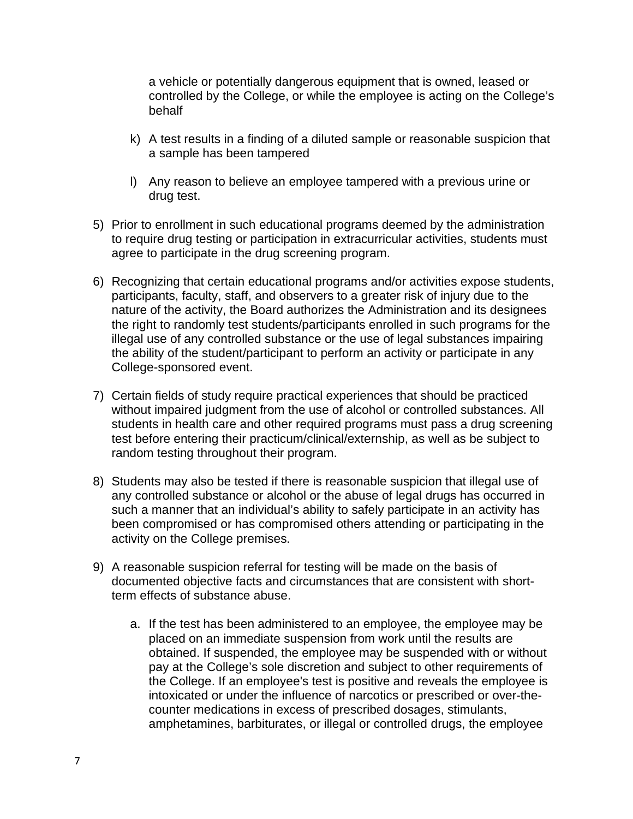a vehicle or potentially dangerous equipment that is owned, leased or controlled by the College, or while the employee is acting on the College's behalf

- k) A test results in a finding of a diluted sample or reasonable suspicion that a sample has been tampered
- l) Any reason to believe an employee tampered with a previous urine or drug test.
- 5) Prior to enrollment in such educational programs deemed by the administration to require drug testing or participation in extracurricular activities, students must agree to participate in the drug screening program.
- 6) Recognizing that certain educational programs and/or activities expose students, participants, faculty, staff, and observers to a greater risk of injury due to the nature of the activity, the Board authorizes the Administration and its designees the right to randomly test students/participants enrolled in such programs for the illegal use of any controlled substance or the use of legal substances impairing the ability of the student/participant to perform an activity or participate in any College-sponsored event.
- 7) Certain fields of study require practical experiences that should be practiced without impaired judgment from the use of alcohol or controlled substances. All students in health care and other required programs must pass a drug screening test before entering their practicum/clinical/externship, as well as be subject to random testing throughout their program.
- 8) Students may also be tested if there is reasonable suspicion that illegal use of any controlled substance or alcohol or the abuse of legal drugs has occurred in such a manner that an individual's ability to safely participate in an activity has been compromised or has compromised others attending or participating in the activity on the College premises.
- 9) A reasonable suspicion referral for testing will be made on the basis of documented objective facts and circumstances that are consistent with shortterm effects of substance abuse.
	- a. If the test has been administered to an employee, the employee may be placed on an immediate suspension from work until the results are obtained. If suspended, the employee may be suspended with or without pay at the College's sole discretion and subject to other requirements of the College. If an employee's test is positive and reveals the employee is intoxicated or under the influence of narcotics or prescribed or over-thecounter medications in excess of prescribed dosages, stimulants, amphetamines, barbiturates, or illegal or controlled drugs, the employee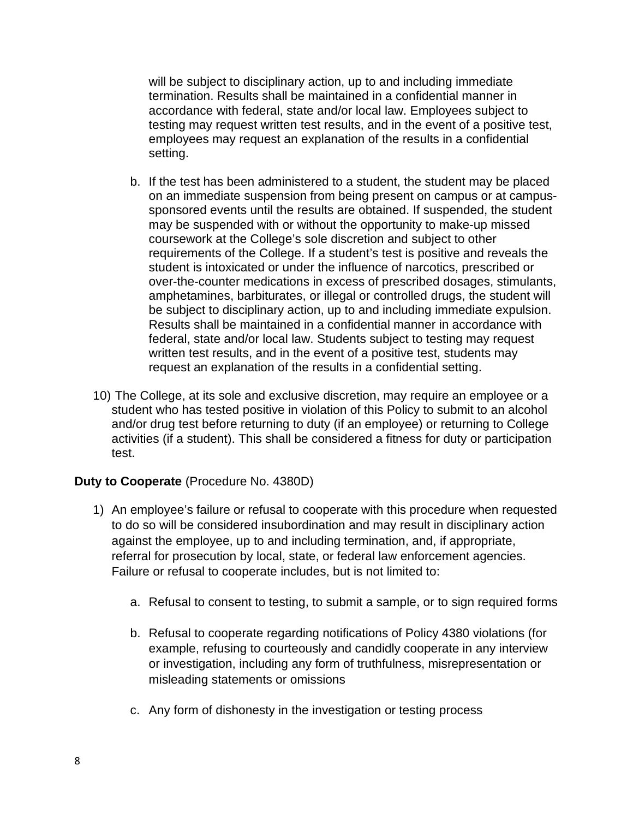will be subject to disciplinary action, up to and including immediate termination. Results shall be maintained in a confidential manner in accordance with federal, state and/or local law. Employees subject to testing may request written test results, and in the event of a positive test, employees may request an explanation of the results in a confidential setting.

- b. If the test has been administered to a student, the student may be placed on an immediate suspension from being present on campus or at campussponsored events until the results are obtained. If suspended, the student may be suspended with or without the opportunity to make-up missed coursework at the College's sole discretion and subject to other requirements of the College. If a student's test is positive and reveals the student is intoxicated or under the influence of narcotics, prescribed or over-the-counter medications in excess of prescribed dosages, stimulants, amphetamines, barbiturates, or illegal or controlled drugs, the student will be subject to disciplinary action, up to and including immediate expulsion. Results shall be maintained in a confidential manner in accordance with federal, state and/or local law. Students subject to testing may request written test results, and in the event of a positive test, students may request an explanation of the results in a confidential setting.
- 10) The College, at its sole and exclusive discretion, may require an employee or a student who has tested positive in violation of this Policy to submit to an alcohol and/or drug test before returning to duty (if an employee) or returning to College activities (if a student). This shall be considered a fitness for duty or participation test.

#### **Duty to Cooperate** (Procedure No. 4380D)

- 1) An employee's failure or refusal to cooperate with this procedure when requested to do so will be considered insubordination and may result in disciplinary action against the employee, up to and including termination, and, if appropriate, referral for prosecution by local, state, or federal law enforcement agencies. Failure or refusal to cooperate includes, but is not limited to:
	- a. Refusal to consent to testing, to submit a sample, or to sign required forms
	- b. Refusal to cooperate regarding notifications of Policy 4380 violations (for example, refusing to courteously and candidly cooperate in any interview or investigation, including any form of truthfulness, misrepresentation or misleading statements or omissions
	- c. Any form of dishonesty in the investigation or testing process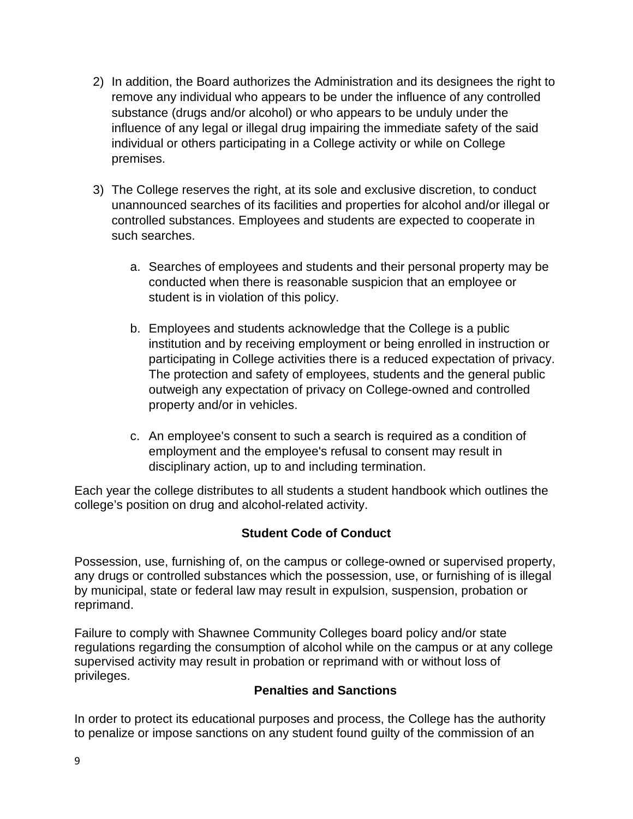- 2) In addition, the Board authorizes the Administration and its designees the right to remove any individual who appears to be under the influence of any controlled substance (drugs and/or alcohol) or who appears to be unduly under the influence of any legal or illegal drug impairing the immediate safety of the said individual or others participating in a College activity or while on College premises.
- 3) The College reserves the right, at its sole and exclusive discretion, to conduct unannounced searches of its facilities and properties for alcohol and/or illegal or controlled substances. Employees and students are expected to cooperate in such searches.
	- a. Searches of employees and students and their personal property may be conducted when there is reasonable suspicion that an employee or student is in violation of this policy.
	- b. Employees and students acknowledge that the College is a public institution and by receiving employment or being enrolled in instruction or participating in College activities there is a reduced expectation of privacy. The protection and safety of employees, students and the general public outweigh any expectation of privacy on College-owned and controlled property and/or in vehicles.
	- c. An employee's consent to such a search is required as a condition of employment and the employee's refusal to consent may result in disciplinary action, up to and including termination.

Each year the college distributes to all students a student handbook which outlines the college's position on drug and alcohol-related activity.

# **Student Code of Conduct**

Possession, use, furnishing of, on the campus or college-owned or supervised property, any drugs or controlled substances which the possession, use, or furnishing of is illegal by municipal, state or federal law may result in expulsion, suspension, probation or reprimand.

Failure to comply with Shawnee Community Colleges board policy and/or state regulations regarding the consumption of alcohol while on the campus or at any college supervised activity may result in probation or reprimand with or without loss of privileges.

# **Penalties and Sanctions**

In order to protect its educational purposes and process, the College has the authority to penalize or impose sanctions on any student found guilty of the commission of an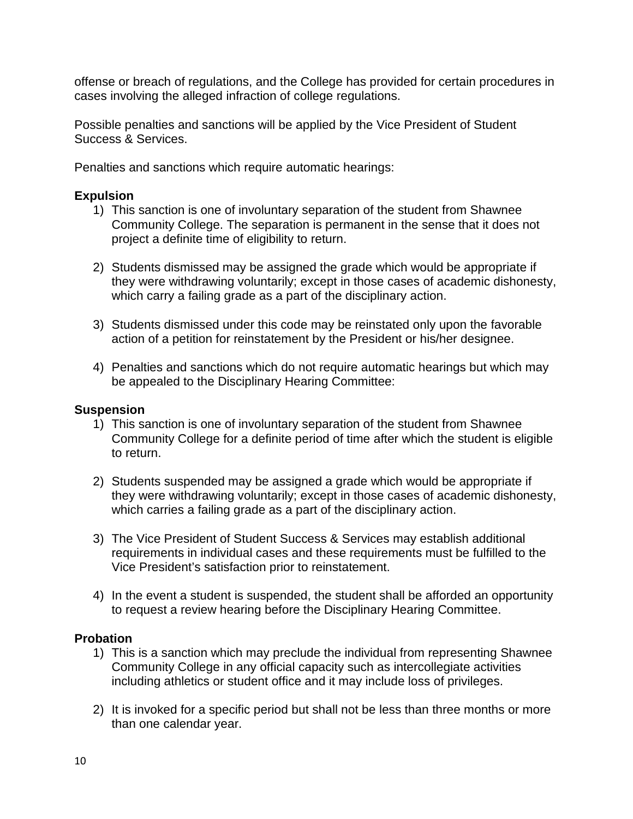offense or breach of regulations, and the College has provided for certain procedures in cases involving the alleged infraction of college regulations.

Possible penalties and sanctions will be applied by the Vice President of Student Success & Services.

Penalties and sanctions which require automatic hearings:

## **Expulsion**

- 1) This sanction is one of involuntary separation of the student from Shawnee Community College. The separation is permanent in the sense that it does not project a definite time of eligibility to return.
- 2) Students dismissed may be assigned the grade which would be appropriate if they were withdrawing voluntarily; except in those cases of academic dishonesty, which carry a failing grade as a part of the disciplinary action.
- 3) Students dismissed under this code may be reinstated only upon the favorable action of a petition for reinstatement by the President or his/her designee.
- 4) Penalties and sanctions which do not require automatic hearings but which may be appealed to the Disciplinary Hearing Committee:

#### **Suspension**

- 1) This sanction is one of involuntary separation of the student from Shawnee Community College for a definite period of time after which the student is eligible to return.
- 2) Students suspended may be assigned a grade which would be appropriate if they were withdrawing voluntarily; except in those cases of academic dishonesty, which carries a failing grade as a part of the disciplinary action.
- 3) The Vice President of Student Success & Services may establish additional requirements in individual cases and these requirements must be fulfilled to the Vice President's satisfaction prior to reinstatement.
- 4) In the event a student is suspended, the student shall be afforded an opportunity to request a review hearing before the Disciplinary Hearing Committee.

#### **Probation**

- 1) This is a sanction which may preclude the individual from representing Shawnee Community College in any official capacity such as intercollegiate activities including athletics or student office and it may include loss of privileges.
- 2) It is invoked for a specific period but shall not be less than three months or more than one calendar year.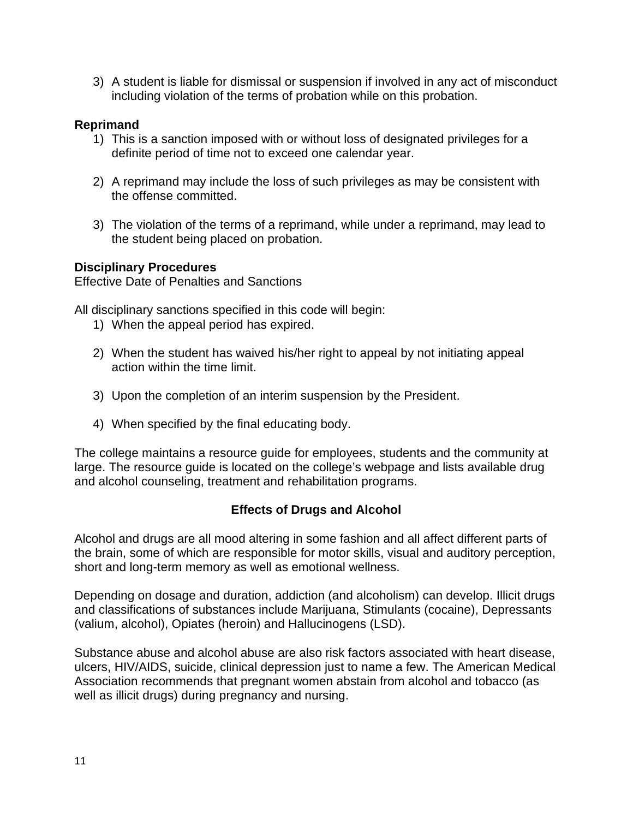3) A student is liable for dismissal or suspension if involved in any act of misconduct including violation of the terms of probation while on this probation.

## **Reprimand**

- 1) This is a sanction imposed with or without loss of designated privileges for a definite period of time not to exceed one calendar year.
- 2) A reprimand may include the loss of such privileges as may be consistent with the offense committed.
- 3) The violation of the terms of a reprimand, while under a reprimand, may lead to the student being placed on probation.

# **Disciplinary Procedures**

Effective Date of Penalties and Sanctions

All disciplinary sanctions specified in this code will begin:

- 1) When the appeal period has expired.
- 2) When the student has waived his/her right to appeal by not initiating appeal action within the time limit.
- 3) Upon the completion of an interim suspension by the President.
- 4) When specified by the final educating body.

The college maintains a resource guide for employees, students and the community at large. The resource guide is located on the college's webpage and lists available drug and alcohol counseling, treatment and rehabilitation programs.

# **Effects of Drugs and Alcohol**

Alcohol and drugs are all mood altering in some fashion and all affect different parts of the brain, some of which are responsible for motor skills, visual and auditory perception, short and long-term memory as well as emotional wellness.

Depending on dosage and duration, addiction (and alcoholism) can develop. Illicit drugs and classifications of substances include Marijuana, Stimulants (cocaine), Depressants (valium, alcohol), Opiates (heroin) and Hallucinogens (LSD).

Substance abuse and alcohol abuse are also risk factors associated with heart disease, ulcers, HIV/AIDS, suicide, clinical depression just to name a few. The American Medical Association recommends that pregnant women abstain from alcohol and tobacco (as well as illicit drugs) during pregnancy and nursing.